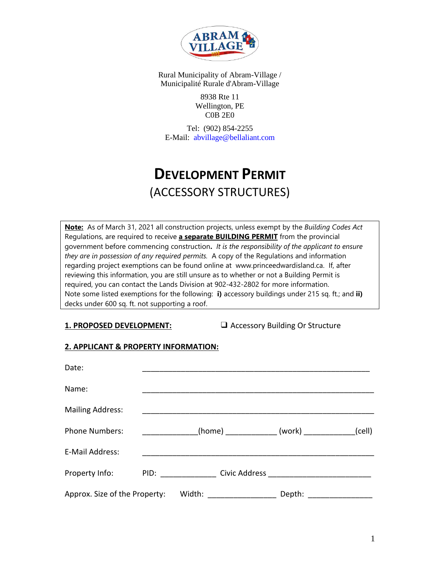

Rural Municipality of Abram-Village / Municipalité Rurale d'Abram-Village

> 8938 Rte 11 Wellington, PE C0B 2E0

Tel: (902) 854-2255 E-Mail: abvillage@bellaliant.com

# **DEVELOPMENT PERMIT** (ACCESSORY STRUCTURES)

**Note:** As of March 31, 2021 all construction projects, unless exempt by the *Building Codes Act* Regulations, are required to receive **a separate BUILDING PERMIT** from the provincial government before commencing construction**.** *It is the responsibility of the applicant to ensure they are in possession of any required permits.* A copy of the Regulations and information regarding project exemptions can be found online at [www.princeedwardisland.ca.](http://www.princeedwardisland.ca/) If, after reviewing this information, you are still unsure as to whether or not a Building Permit is required, you can contact the Lands Division at [902-432-2](tel:9023685280)802 for more information. Note some listed exemptions for the following: **i)** accessory buildings under 215 sq. ft.; and **ii)** decks under 600 sq. ft. not supporting a roof.

**1. PROPOSED DEVELOPMENT:** ❑ Accessory Building Or Structure

# **2. APPLICANT & PROPERTY INFORMATION:**

| Date:                         |      |        |                                            |        |        |
|-------------------------------|------|--------|--------------------------------------------|--------|--------|
| Name:                         |      |        |                                            |        |        |
| <b>Mailing Address:</b>       |      |        |                                            |        |        |
| <b>Phone Numbers:</b>         |      |        | _(home) _______________ (work) ___________ |        | (cell) |
| E-Mail Address:               |      |        |                                            |        |        |
| Property Info:                | PID: |        |                                            |        |        |
| Approx. Size of the Property: |      | Width: |                                            | Depth: |        |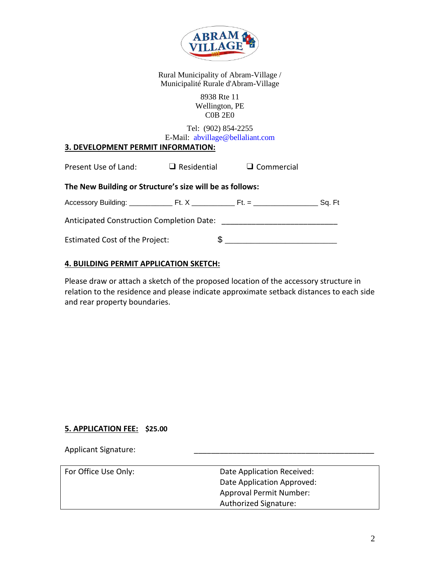

Rural Municipality of Abram-Village / Municipalité Rurale d'Abram-Village

#### 8938 Rte 11 Wellington, PE C0B 2E0

Tel: (902) 854-2255 E-Mail: abvillage@bellaliant.com

# **3. DEVELOPMENT PERMIT INFORMATION:**

| Present Use of Land:                                     |    | $\Box$ Residential $\Box$ Commercial |  |
|----------------------------------------------------------|----|--------------------------------------|--|
| The New Building or Structure's size will be as follows: |    |                                      |  |
|                                                          |    |                                      |  |
|                                                          |    |                                      |  |
| <b>Estimated Cost of the Project:</b>                    | £. |                                      |  |

# **4. BUILDING PERMIT APPLICATION SKETCH:**

Please draw or attach a sketch of the proposed location of the accessory structure in relation to the residence and please indicate approximate setback distances to each side and rear property boundaries.

#### **5. APPLICATION FEE: \$25.00**

Applicant Signature:

| For Office Use Only: | Date Application Received:     |
|----------------------|--------------------------------|
|                      | Date Application Approved:     |
|                      | <b>Approval Permit Number:</b> |
|                      | Authorized Signature:          |